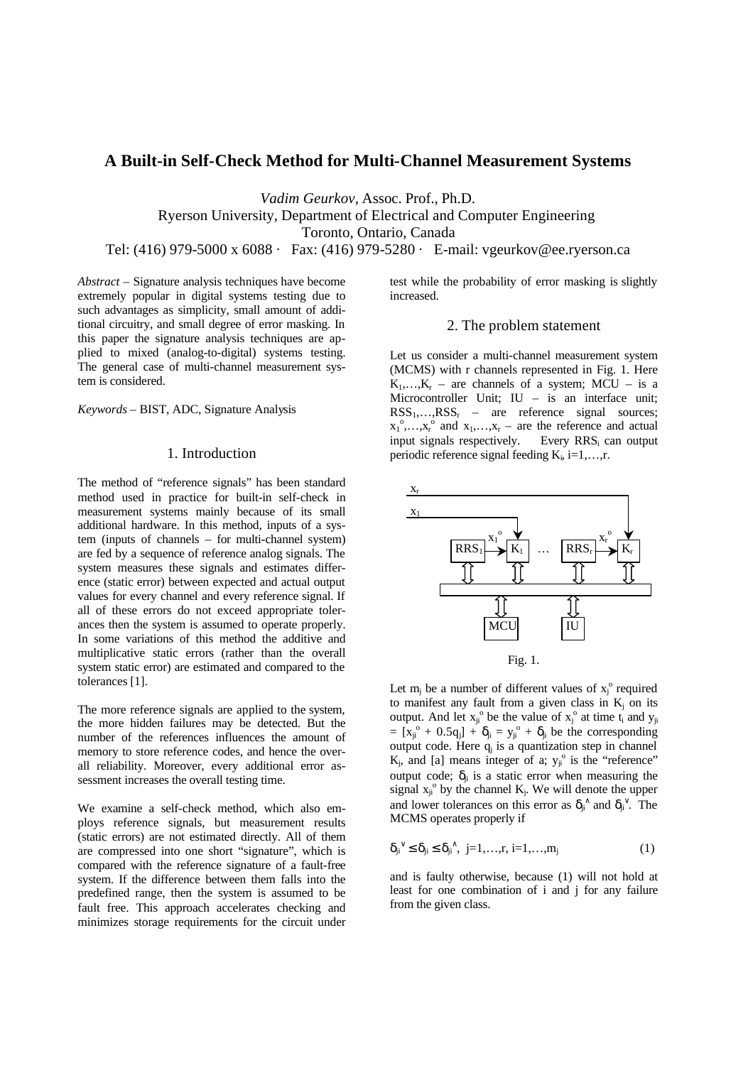# **A Built-in Self-Check Method for Multi-Channel Measurement Systems**

*Vadim Geurkov*, Assoc. Prof., Ph.D.

Ryerson University, Department of Electrical and Computer Engineering

Toronto, Ontario, Canada

Tel: (416) 979-5000 x 6088 · Fax: (416) 979-5280 · E-mail: vgeurkov@ee.ryerson.ca

*Abstract* – Signature analysis techniques have become extremely popular in digital systems testing due to such advantages as simplicity, small amount of additional circuitry, and small degree of error masking. In this paper the signature analysis techniques are applied to mixed (analog-to-digital) systems testing. The general case of multi-channel measurement system is considered.

*Keywords* – BIST, ADC, Signature Analysis

### 1. Introduction

The method of "reference signals" has been standard method used in practice for built-in self-check in measurement systems mainly because of its small additional hardware. In this method, inputs of a system (inputs of channels – for multi-channel system) are fed by a sequence of reference analog signals. The system measures these signals and estimates difference (static error) between expected and actual output values for every channel and every reference signal. If all of these errors do not exceed appropriate tolerances then the system is assumed to operate properly. In some variations of this method the additive and multiplicative static errors (rather than the overall system static error) are estimated and compared to the tolerances [1].

The more reference signals are applied to the system, the more hidden failures may be detected. But the number of the references influences the amount of memory to store reference codes, and hence the overall reliability. Moreover, every additional error assessment increases the overall testing time.

We examine a self-check method, which also employs reference signals, but measurement results (static errors) are not estimated directly. All of them are compressed into one short "signature", which is compared with the reference signature of a fault-free system. If the difference between them falls into the predefined range, then the system is assumed to be fault free. This approach accelerates checking and minimizes storage requirements for the circuit under

test while the probability of error masking is slightly increased.

## 2. The problem statement

Let us consider a multi-channel measurement system (MCMS) with r channels represented in Fig. 1. Here  $K_1, \ldots, K_r$  – are channels of a system; MCU – is a Microcontroller Unit; IU – is an interface unit;  $RSS<sub>1</sub>,...,RSS<sub>r</sub>$  – are reference signal sources;  $x_1^{\circ}, \ldots, x_r^{\circ}$  and  $x_1, \ldots, x_r$  – are the reference and actual input signals respectively. Every RRS<sub>i</sub> can output periodic reference signal feeding  $K_i$ , i=1,...,r.



Let  $m_j$  be a number of different values of  $x_j^{\circ}$  required to manifest any fault from a given class in  $K_j$  on its output. And let  $x_{ji}^{\circ}$  be the value of  $x_j^{\circ}$  at time  $t_i$  and  $y_{ji}$  $= [x_{ji}^{\circ} + 0.5q_{j}] + \delta_{ji} = y_{ji}^{\circ} + \delta_{ji}$  be the corresponding output code. Here  $q_i$  is a quantization step in channel  $K_j$ , and [a] means integer of a;  $y_j^{\circ}$  is the "reference" output code;  $\delta_{ii}$  is a static error when measuring the signal  $x_{ji}^{\circ}$  by the channel  $K_j$ . We will denote the upper and lower tolerances on this error as  $\delta_{ji}^{\wedge}$  and  $\delta_{ji}^{\vee}$ . The MCMS operates properly if

$$
\delta_{ji}^{\ \ \vee} \leq \delta_{ji} \leq \delta_{ji}^{\ \ \wedge}, \ j=1,\ldots,r, \ i=1,\ldots,m_j \tag{1}
$$

and is faulty otherwise, because (1) will not hold at least for one combination of i and j for any failure from the given class.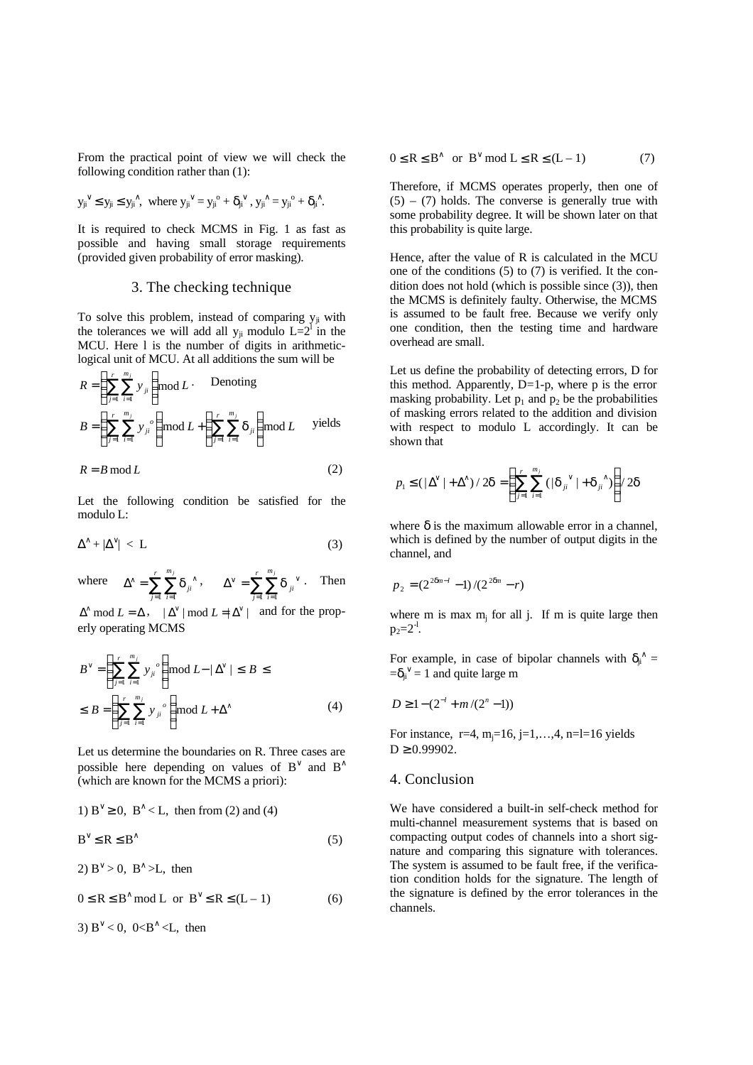From the practical point of view we will check the following condition rather than (1):

$$
{y_{ji}}^\vee\leq y_{ji}\leq y_{ji}{}^\wedge,\ \text{ where }{y_{ji}}^\vee=y_{ji}{}^o+\delta_{ji}{}^\vee\text{ , }y_{ji}{}^\wedge=y_{ji}{}^o+\delta_{ji}{}^\wedge\text{.}
$$

It is required to check MCMS in Fig. 1 as fast as possible and having small storage requirements (provided given probability of error masking).

### 3. The checking technique

To solve this problem, instead of comparing  $y_{ii}$  with the tolerances we will add all  $y_{ji}$  modulo  $L=2^1$  in the MCU. Here l is the number of digits in arithmeticlogical unit of MCU. At all additions the sum will be

$$
R = \left(\sum_{j=1}^{r} \sum_{i=1}^{m_j} y_{ji}\right) \text{mod } L. \quad \text{Denoting}
$$
\n
$$
B = \left(\sum_{j=1}^{r} \sum_{i=1}^{m_j} y_{ji}^o\right) \text{mod } L + \left(\sum_{j=1}^{r} \sum_{i=1}^{m_j} d_{ji}\right) \text{mod } L \quad \text{ yields}
$$

$$
R = B \bmod L \tag{2}
$$

Let the following condition be satisfied for the modulo L:

$$
\Delta^{\wedge} + |\Delta^{\vee}| < L \tag{3}
$$

where  $\Delta^{\wedge} = \sum_{j=1}^{r} \sum_{i=1}^{m_j} d_{ji}^{\wedge}$ *j m*  $\sum_{i=1}$ **u**<sub>ji</sub> *j*  $-1$   $i=1$  $d_{ji}^{\,\,\wedge}\,,\qquad \Delta^{\vee}=\sum_{j=1}^{r}\sum_{i=1}^{m_{j}}d_{ji}^{\,\,\vee}$ *j m*  $\sum_{i=1}$ **u** ji *j*  $1 \quad i = 1$  $\boldsymbol{d}_{ii}$  Then

 $\Delta^{\wedge}$  mod  $L = \Delta$ ,  $|\Delta^{\vee}|$  mod  $L = |\Delta^{\vee}|$  and for the properly operating MCMS

$$
B^{\vee} = \left(\sum_{j=1}^{r} \sum_{i=1}^{m_j} y_{ji}^{\circ}\right) \mod L - |\Delta^{\vee}| \leq B \leq
$$
  

$$
\leq B = \left(\sum_{j=1}^{r} \sum_{i=1}^{m_j} y_{ji}^{\circ}\right) \mod L + \Delta^{\wedge}
$$
 (4)

Let us determine the boundaries on R. Three cases are possible here depending on values of  $B^{\vee}$  and  $B^{\wedge}$ (which are known for the MCMS a priori):

1) 
$$
B^{\vee} \ge 0
$$
,  $B^{\wedge} < L$ , then from (2) and (4)  
 $B^{\vee} \le R \le B^{\wedge}$  (5)

2)  $B^{\vee} > 0$ ,  $B^{\wedge} > L$ , then

 $0 \le R \le B^{\wedge} \text{ mod } L \text{ or } B^{\vee} \le R \le (L - 1)$  (6)

3)  $B^{\vee} < 0$ , 0< $B^{\wedge} < L$ , then

$$
0 \le R \le B^{\wedge} \text{ or } B^{\vee} \text{ mod } L \le R \le (L - 1) \tag{7}
$$

Therefore, if MCMS operates properly, then one of  $(5) - (7)$  holds. The converse is generally true with some probability degree. It will be shown later on that this probability is quite large.

Hence, after the value of R is calculated in the MCU one of the conditions (5) to (7) is verified. It the condition does not hold (which is possible since (3)), then the MCMS is definitely faulty. Otherwise, the MCMS is assumed to be fault free. Because we verify only one condition, then the testing time and hardware overhead are small.

Let us define the probability of detecting errors, D for this method. Apparently,  $D=1-p$ , where p is the error masking probability. Let  $p_1$  and  $p_2$  be the probabilities of masking errors related to the addition and division with respect to modulo L accordingly. It can be shown that

$$
p_1 \leq (\left|\Delta^{\vee}\right| + \left|\Delta^{\wedge}\right)/2\boldsymbol{d} = \left(\sum_{j=1}^r \sum_{i=1}^{m_j} \left(\left|\boldsymbol{d}_{ji}^{\;\;\vee}\right| + \boldsymbol{d}_{ji}^{\;\;\wedge}\right)\right)/2\boldsymbol{d}
$$

where  $\delta$  is the maximum allowable error in a channel. which is defined by the number of output digits in the channel, and

$$
p_2 = (2^{2\mathbf{d}n-l} - 1)/(2^{2\mathbf{d}n} - r)
$$

where m is max  $m_j$  for all j. If m is quite large then  $p_2 = 2^{-1}$ .

For example, in case of bipolar channels with  $\delta_{ji}^{\wedge} =$  $=\delta_{ji}^{\vee} = 1$  and quite large m

$$
D \ge 1 - (2^{-l} + m/(2^n - 1))
$$

For instance,  $r=4$ ,  $m_i=16$ ,  $j=1,...,4$ ,  $n=l=16$  yields  $D \ge 0.99902$ .

#### 4. Conclusion

We have considered a built-in self-check method for multi-channel measurement systems that is based on compacting output codes of channels into a short signature and comparing this signature with tolerances. The system is assumed to be fault free, if the verification condition holds for the signature. The length of the signature is defined by the error tolerances in the channels.